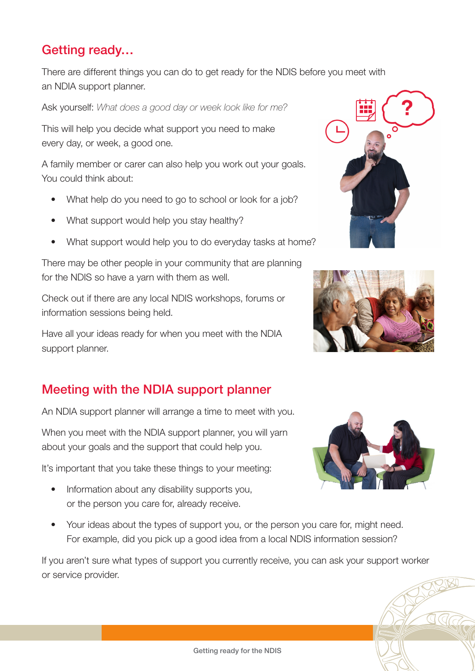## Getting ready…

There are different things you can do to get ready for the NDIS before you meet with an NDIA support planner.

Ask yourself: *What does a good day or week look like for me?* 

This will help you decide what support you need to make every day, or week, a good one.

A family member or carer can also help you work out your goals. You could think about:

- What help do you need to go to school or look for a job?
- What support would help you stay healthy?
- What support would help you to do everyday tasks at home?

There may be other people in your community that are planning for the NDIS so have a yarn with them as well.

Check out if there are any local NDIS workshops, forums or information sessions being held.

Have all your ideas ready for when you meet with the NDIA support planner.

## Meeting with the NDIA support planner

An NDIA support planner will arrange a time to meet with you.

When you meet with the NDIA support planner, you will yarn about your goals and the support that could help you.

It's important that you take these things to your meeting:

- Information about any disability supports you, or the person you care for, already receive.
- Your ideas about the types of support you, or the person you care for, might need. For example, did you pick up a good idea from a local NDIS information session?

If you aren't sure what types of support you currently receive, you can ask your support worker or service provider.